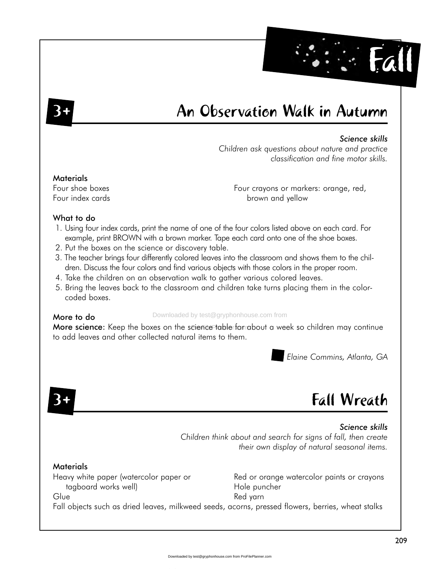# An Observation Walk in Autumn

### Science skills

Fall

Children ask avestions about nature and practice classification and fine motor skills.

#### **Materials**

Four shoe boxes Four index cards Four crayons or markers: orange, red, brown and vellow

### What to do

- 1. Using four index cards, print the name of one of the four colors listed above on each card. For example, print BROWN with a brown marker. Tape each card onto one of the shoe boxes.
- 2. Put the boxes on the science or discovery table.
- 3. The teacher brings four differently colored leaves into the classroom and shows them to the children. Discuss the four colors and find various objects with those colors in the proper room.
- 4. Take the children on an observation walk to gather various colored leaves.
- 5. Bring the leaves back to the classroom and children take turns placing them in the colorcoded boxes.

#### More to do

Downloaded by test@gryphonhouse.com from

More science: Keep the boxes on the science table formabout a week so children may continue to add leaves and other collected natural items to them.

Elaine Commins, Atlanta, GA

# **Fall Wreath**

Science skills Children think about and search for signs of fall, then create their own display of natural seasonal items.

### **Materials**

Heavy white paper (watercolor paper or tagboard works well)

Glue

Red or orange watercolor paints or crayons Hole puncher Red yarn

Fall objects such as dried leaves, milkweed seeds, acorns, pressed flowers, berries, wheat stalks